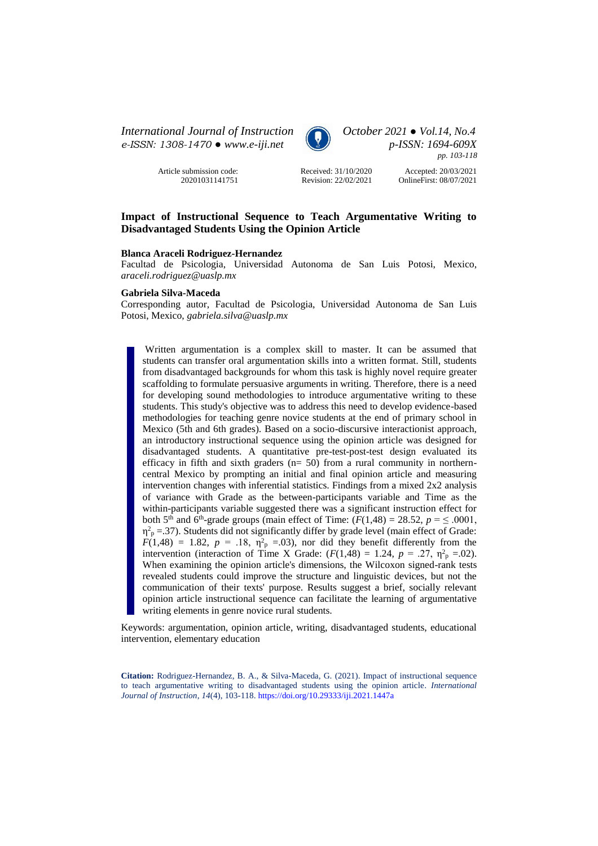*International Journal of Instruction October 2021 ● Vol.14, No.4 e-ISSN: 1308-1470 ● [www.e-iji.net](http://www.e-iji.net/) p-ISSN: 1694-609X*

> Article submission code: 20201031141751



*pp. 103-118*

Received: 31/10/2020 Revision: 22/02/2021

Accepted: 20/03/2021 OnlineFirst: 08/07/2021

# **Impact of Instructional Sequence to Teach Argumentative Writing to Disadvantaged Students Using the Opinion Article**

#### **Blanca Araceli Rodriguez-Hernandez**

Facultad de Psicologia, Universidad Autonoma de San Luis Potosi, Mexico, *araceli.rodriguez@uaslp.mx*

### **Gabriela Silva-Maceda**

Corresponding autor, Facultad de Psicologia, Universidad Autonoma de San Luis Potosi, Mexico, *gabriela.silva@uaslp.mx*

Written argumentation is a complex skill to master. It can be assumed that students can transfer oral argumentation skills into a written format. Still, students from disadvantaged backgrounds for whom this task is highly novel require greater scaffolding to formulate persuasive arguments in writing. Therefore, there is a need for developing sound methodologies to introduce argumentative writing to these students. This study's objective was to address this need to develop evidence-based methodologies for teaching genre novice students at the end of primary school in Mexico (5th and 6th grades). Based on a socio-discursive interactionist approach, an introductory instructional sequence using the opinion article was designed for disadvantaged students. A quantitative pre-test-post-test design evaluated its efficacy in fifth and sixth graders  $(n= 50)$  from a rural community in northerncentral Mexico by prompting an initial and final opinion article and measuring intervention changes with inferential statistics. Findings from a mixed 2x2 analysis of variance with Grade as the between-participants variable and Time as the within-participants variable suggested there was a significant instruction effect for both 5<sup>th</sup> and 6<sup>th</sup>-grade groups (main effect of Time:  $(F(1,48) = 28.52, p = 6.0001,$  $\eta_{\text{p}}^2$  = .37). Students did not significantly differ by grade level (main effect of Grade:  $F(1,48) = 1.82$ ,  $p = .18$ ,  $\eta^2$ <sub>p</sub> = 0.03), nor did they benefit differently from the intervention (interaction of Time X Grade:  $(F(1,48) = 1.24, p = .27, \eta^2_{\text{p}} = .02)$ ). When examining the opinion article's dimensions, the Wilcoxon signed-rank tests revealed students could improve the structure and linguistic devices, but not the communication of their texts' purpose. Results suggest a brief, socially relevant opinion article instructional sequence can facilitate the learning of argumentative writing elements in genre novice rural students.

Keywords: argumentation, opinion article, writing, disadvantaged students, educational intervention, elementary education

**Citation:** Rodriguez-Hernandez, B. A., & Silva-Maceda, G. (2021). Impact of instructional sequence to teach argumentative writing to disadvantaged students using the opinion article. *International Journal of Instruction*, *14*(4), 103-118. <https://doi.org/10.29333/iji.2021.1447a>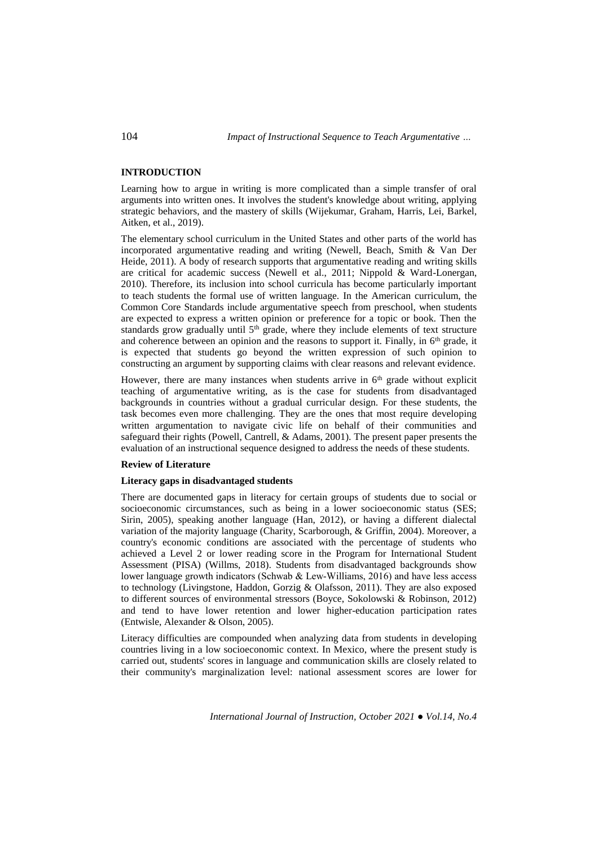## **INTRODUCTION**

Learning how to argue in writing is more complicated than a simple transfer of oral arguments into written ones. It involves the student's knowledge about writing, applying strategic behaviors, and the mastery of skills (Wijekumar, Graham, Harris, Lei, Barkel, Aitken, et al., 2019).

The elementary school curriculum in the United States and other parts of the world has incorporated argumentative reading and writing (Newell, Beach, Smith & Van Der Heide, 2011). A body of research supports that argumentative reading and writing skills are critical for academic success (Newell et al., 2011; Nippold & Ward-Lonergan, 2010). Therefore, its inclusion into school curricula has become particularly important to teach students the formal use of written language. In the American curriculum, the Common Core Standards include argumentative speech from preschool, when students are expected to express a written opinion or preference for a topic or book. Then the standards grow gradually until  $5<sup>th</sup>$  grade, where they include elements of text structure and coherence between an opinion and the reasons to support it. Finally, in  $6<sup>th</sup>$  grade, it is expected that students go beyond the written expression of such opinion to constructing an argument by supporting claims with clear reasons and relevant evidence.

However, there are many instances when students arrive in  $6<sup>th</sup>$  grade without explicit teaching of argumentative writing, as is the case for students from disadvantaged backgrounds in countries without a gradual curricular design. For these students, the task becomes even more challenging. They are the ones that most require developing written argumentation to navigate civic life on behalf of their communities and safeguard their rights (Powell, Cantrell, & Adams, 2001). The present paper presents the evaluation of an instructional sequence designed to address the needs of these students.

### **Review of Literature**

### **Literacy gaps in disadvantaged students**

There are documented gaps in literacy for certain groups of students due to social or socioeconomic circumstances, such as being in a lower socioeconomic status (SES; Sirin, 2005), speaking another language (Han, 2012), or having a different dialectal variation of the majority language (Charity, Scarborough, & Griffin, 2004). Moreover, a country's economic conditions are associated with the percentage of students who achieved a Level 2 or lower reading score in the Program for International Student Assessment (PISA) (Willms, 2018). Students from disadvantaged backgrounds show lower language growth indicators (Schwab & Lew‐Williams, 2016) and have less access to technology (Livingstone, Haddon, Gorzig & Olafsson, 2011). They are also exposed to different sources of environmental stressors (Boyce, Sokolowski & Robinson, 2012) and tend to have lower retention and lower higher-education participation rates (Entwisle, Alexander & Olson, 2005).

Literacy difficulties are compounded when analyzing data from students in developing countries living in a low socioeconomic context. In Mexico, where the present study is carried out, students' scores in language and communication skills are closely related to their community's marginalization level: national assessment scores are lower for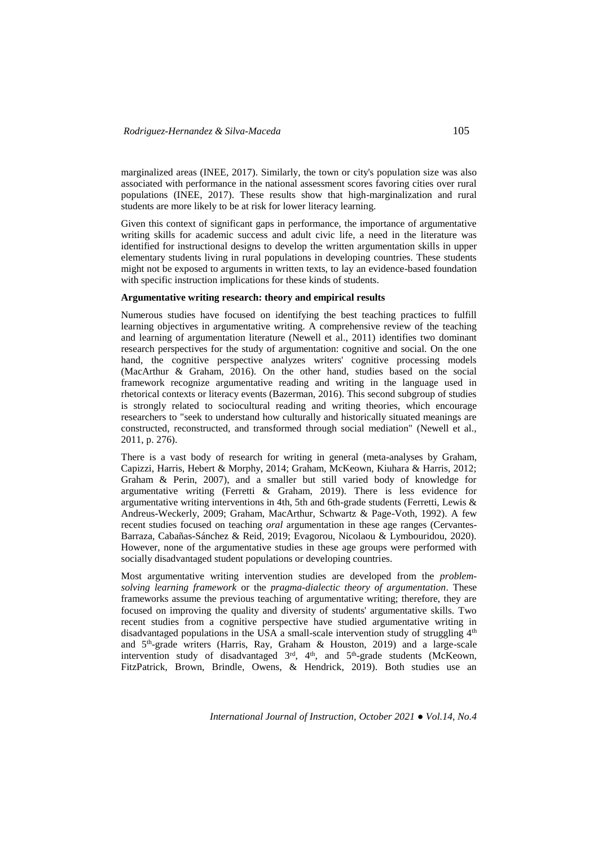marginalized areas (INEE, 2017). Similarly, the town or city's population size was also associated with performance in the national assessment scores favoring cities over rural populations (INEE, 2017). These results show that high-marginalization and rural students are more likely to be at risk for lower literacy learning.

Given this context of significant gaps in performance, the importance of argumentative writing skills for academic success and adult civic life, a need in the literature was identified for instructional designs to develop the written argumentation skills in upper elementary students living in rural populations in developing countries. These students might not be exposed to arguments in written texts, to lay an evidence-based foundation with specific instruction implications for these kinds of students.

### **Argumentative writing research: theory and empirical results**

Numerous studies have focused on identifying the best teaching practices to fulfill learning objectives in argumentative writing. A comprehensive review of the teaching and learning of argumentation literature (Newell et al., 2011) identifies two dominant research perspectives for the study of argumentation: cognitive and social. On the one hand, the cognitive perspective analyzes writers' cognitive processing models (MacArthur & Graham, 2016). On the other hand, studies based on the social framework recognize argumentative reading and writing in the language used in rhetorical contexts or literacy events (Bazerman, 2016). This second subgroup of studies is strongly related to sociocultural reading and writing theories, which encourage researchers to "seek to understand how culturally and historically situated meanings are constructed, reconstructed, and transformed through social mediation" (Newell et al., 2011, p. 276).

There is a vast body of research for writing in general (meta-analyses by Graham, Capizzi, Harris, Hebert & Morphy, 2014; Graham, McKeown, Kiuhara & Harris, 2012; Graham & Perin, 2007), and a smaller but still varied body of knowledge for argumentative writing (Ferretti & Graham, 2019). There is less evidence for argumentative writing interventions in 4th, 5th and 6th-grade students (Ferretti, Lewis & Andreus-Weckerly, 2009; Graham, MacArthur, Schwartz & Page-Voth, 1992). A few recent studies focused on teaching *oral* argumentation in these age ranges (Cervantes-Barraza, Cabañas-Sánchez & Reid, 2019; Evagorou, Nicolaou & Lymbouridou, 2020). However, none of the argumentative studies in these age groups were performed with socially disadvantaged student populations or developing countries.

Most argumentative writing intervention studies are developed from the *problemsolving learning framework* or the *pragma-dialectic theory of argumentation*. These frameworks assume the previous teaching of argumentative writing; therefore, they are focused on improving the quality and diversity of students' argumentative skills. Two recent studies from a cognitive perspective have studied argumentative writing in disadvantaged populations in the USA a small-scale intervention study of struggling 4<sup>th</sup> and 5th -grade writers (Harris, Ray, Graham & Houston, 2019) and a large-scale intervention study of disadvantaged  $3<sup>rd</sup>$ ,  $4<sup>th</sup>$ , and  $5<sup>th</sup>$ -grade students (McKeown, FitzPatrick, Brown, Brindle, Owens, & Hendrick, 2019). Both studies use an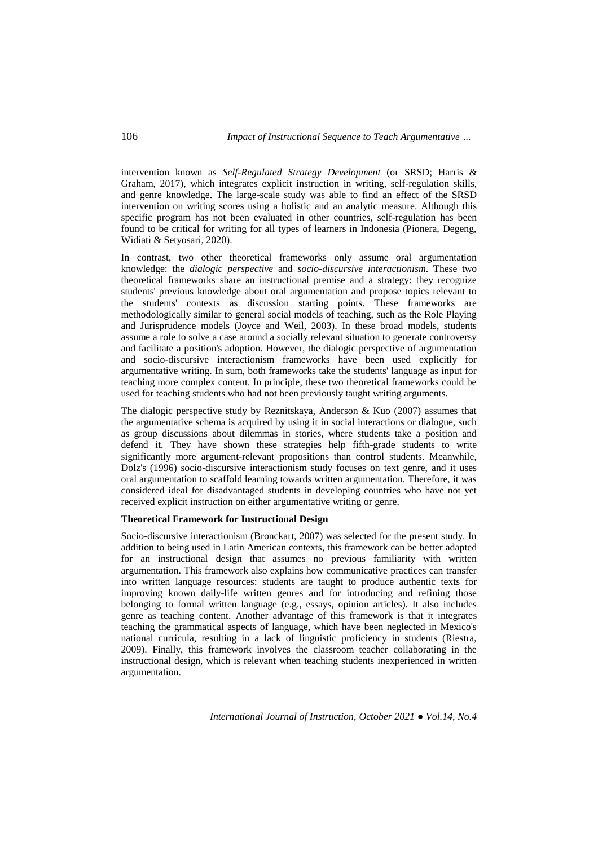intervention known as *Self-Regulated Strategy Development* (or SRSD; Harris & Graham, 2017), which integrates explicit instruction in writing, self-regulation skills, and genre knowledge. The large-scale study was able to find an effect of the SRSD intervention on writing scores using a holistic and an analytic measure. Although this specific program has not been evaluated in other countries, self-regulation has been found to be critical for writing for all types of learners in Indonesia (Pionera, Degeng, Widiati & Setyosari, 2020).

In contrast, two other theoretical frameworks only assume oral argumentation knowledge: the *dialogic perspective* and *socio-discursive interactionism*. These two theoretical frameworks share an instructional premise and a strategy: they recognize students' previous knowledge about oral argumentation and propose topics relevant to the students' contexts as discussion starting points. These frameworks are methodologically similar to general social models of teaching, such as the Role Playing and Jurisprudence models (Joyce and Weil, 2003). In these broad models, students assume a role to solve a case around a socially relevant situation to generate controversy and facilitate a position's adoption. However, the dialogic perspective of argumentation and socio-discursive interactionism frameworks have been used explicitly for argumentative writing. In sum, both frameworks take the students' language as input for teaching more complex content. In principle, these two theoretical frameworks could be used for teaching students who had not been previously taught writing arguments.

The dialogic perspective study by Reznitskaya, Anderson & Kuo (2007) assumes that the argumentative schema is acquired by using it in social interactions or dialogue, such as group discussions about dilemmas in stories, where students take a position and defend it. They have shown these strategies help fifth-grade students to write significantly more argument-relevant propositions than control students. Meanwhile, Dolz's (1996) socio-discursive interactionism study focuses on text genre, and it uses oral argumentation to scaffold learning towards written argumentation. Therefore, it was considered ideal for disadvantaged students in developing countries who have not yet received explicit instruction on either argumentative writing or genre.

### **Theoretical Framework for Instructional Design**

Socio-discursive interactionism (Bronckart, 2007) was selected for the present study. In addition to being used in Latin American contexts, this framework can be better adapted for an instructional design that assumes no previous familiarity with written argumentation. This framework also explains how communicative practices can transfer into written language resources: students are taught to produce authentic texts for improving known daily-life written genres and for introducing and refining those belonging to formal written language (e.g., essays, opinion articles). It also includes genre as teaching content. Another advantage of this framework is that it integrates teaching the grammatical aspects of language, which have been neglected in Mexico's national curricula, resulting in a lack of linguistic proficiency in students (Riestra, 2009). Finally, this framework involves the classroom teacher collaborating in the instructional design, which is relevant when teaching students inexperienced in written argumentation.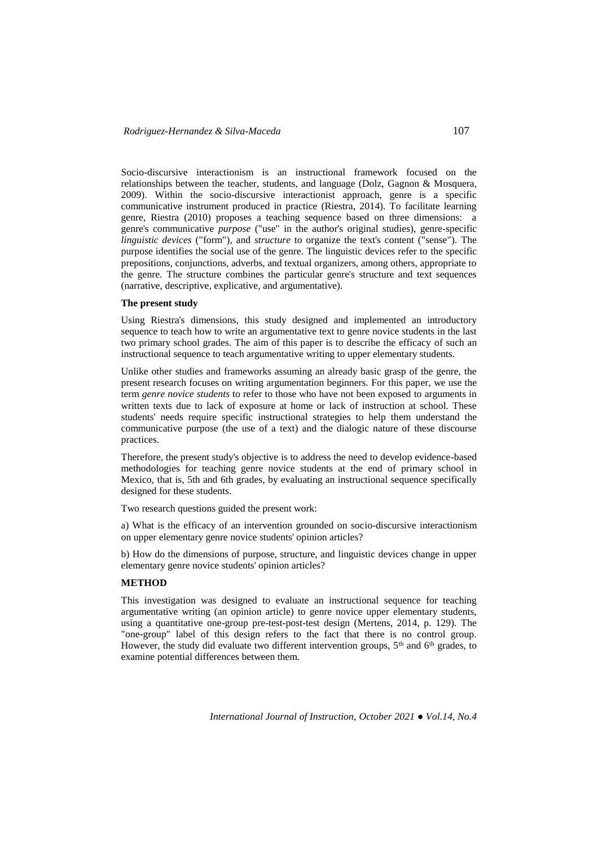Socio-discursive interactionism is an instructional framework focused on the relationships between the teacher, students, and language (Dolz, Gagnon & Mosquera, 2009). Within the socio-discursive interactionist approach, genre is a specific communicative instrument produced in practice (Riestra, 2014). To facilitate learning genre, Riestra (2010) proposes a teaching sequence based on three dimensions: a genre's communicative *purpose* ("use" in the author's original studies), genre-specific *linguistic devices* ("form"), and *structure* to organize the text's content ("sense"). The purpose identifies the social use of the genre. The linguistic devices refer to the specific prepositions, conjunctions, adverbs, and textual organizers, among others, appropriate to the genre. The structure combines the particular genre's structure and text sequences (narrative, descriptive, explicative, and argumentative).

## **The present study**

Using Riestra's dimensions, this study designed and implemented an introductory sequence to teach how to write an argumentative text to genre novice students in the last two primary school grades. The aim of this paper is to describe the efficacy of such an instructional sequence to teach argumentative writing to upper elementary students.

Unlike other studies and frameworks assuming an already basic grasp of the genre, the present research focuses on writing argumentation beginners. For this paper, we use the term *genre novice students* to refer to those who have not been exposed to arguments in written texts due to lack of exposure at home or lack of instruction at school. These students' needs require specific instructional strategies to help them understand the communicative purpose (the use of a text) and the dialogic nature of these discourse practices.

Therefore, the present study's objective is to address the need to develop evidence-based methodologies for teaching genre novice students at the end of primary school in Mexico, that is, 5th and 6th grades, by evaluating an instructional sequence specifically designed for these students.

Two research questions guided the present work:

a) What is the efficacy of an intervention grounded on socio-discursive interactionism on upper elementary genre novice students' opinion articles?

b) How do the dimensions of purpose, structure, and linguistic devices change in upper elementary genre novice students' opinion articles?

## **METHOD**

This investigation was designed to evaluate an instructional sequence for teaching argumentative writing (an opinion article) to genre novice upper elementary students, using a quantitative one-group pre-test-post-test design (Mertens, 2014, p. 129). The "one-group" label of this design refers to the fact that there is no control group. However, the study did evaluate two different intervention groups,  $5<sup>th</sup>$  and  $6<sup>th</sup>$  grades, to examine potential differences between them.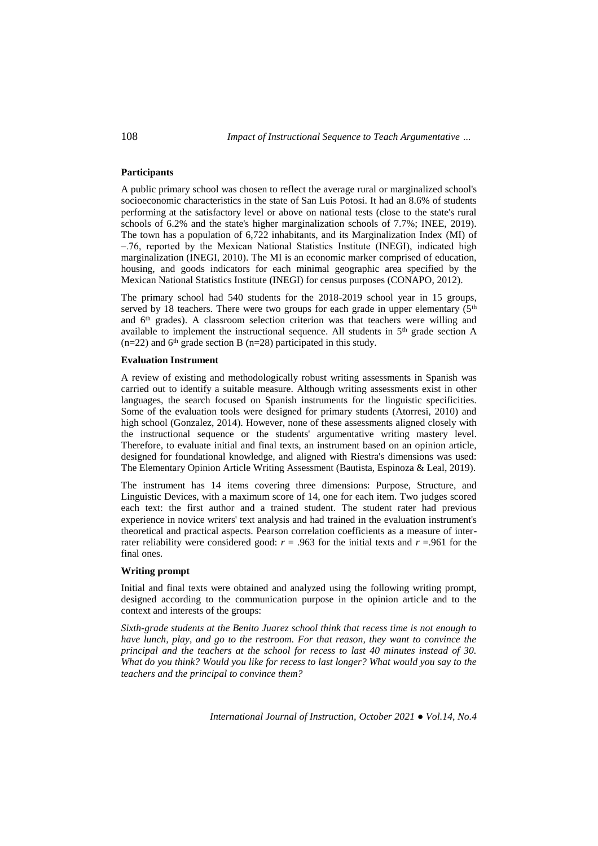## **Participants**

A public primary school was chosen to reflect the average rural or marginalized school's socioeconomic characteristics in the state of San Luis Potosi. It had an 8.6% of students performing at the satisfactory level or above on national tests (close to the state's rural schools of 6.2% and the state's higher marginalization schools of 7.7%; INEE, 2019). The town has a population of 6,722 inhabitants, and its Marginalization Index (MI) of ‒.76, reported by the Mexican National Statistics Institute (INEGI), indicated high marginalization (INEGI, 2010). The MI is an economic marker comprised of education, housing, and goods indicators for each minimal geographic area specified by the Mexican National Statistics Institute (INEGI) for census purposes (CONAPO, 2012).

The primary school had 540 students for the 2018-2019 school year in 15 groups, served by 18 teachers. There were two groups for each grade in upper elementary  $(5<sup>th</sup>$ and 6th grades). A classroom selection criterion was that teachers were willing and available to implement the instructional sequence. All students in 5<sup>th</sup> grade section A  $(n=22)$  and 6<sup>th</sup> grade section B (n=28) participated in this study.

#### **Evaluation Instrument**

A review of existing and methodologically robust writing assessments in Spanish was carried out to identify a suitable measure. Although writing assessments exist in other languages, the search focused on Spanish instruments for the linguistic specificities. Some of the evaluation tools were designed for primary students (Atorresi, 2010) and high school (Gonzalez, 2014). However, none of these assessments aligned closely with the instructional sequence or the students' argumentative writing mastery level. Therefore, to evaluate initial and final texts, an instrument based on an opinion article, designed for foundational knowledge, and aligned with Riestra's dimensions was used: The Elementary Opinion Article Writing Assessment (Bautista, Espinoza & Leal, 2019).

The instrument has 14 items covering three dimensions: Purpose, Structure, and Linguistic Devices, with a maximum score of 14, one for each item. Two judges scored each text: the first author and a trained student. The student rater had previous experience in novice writers' text analysis and had trained in the evaluation instrument's theoretical and practical aspects. Pearson correlation coefficients as a measure of interrater reliability were considered good:  $r = .963$  for the initial texts and  $r = .961$  for the final ones.

## **Writing prompt**

Initial and final texts were obtained and analyzed using the following writing prompt, designed according to the communication purpose in the opinion article and to the context and interests of the groups:

*Sixth-grade students at the Benito Juarez school think that recess time is not enough to have lunch, play, and go to the restroom. For that reason, they want to convince the principal and the teachers at the school for recess to last 40 minutes instead of 30. What do you think? Would you like for recess to last longer? What would you say to the teachers and the principal to convince them?*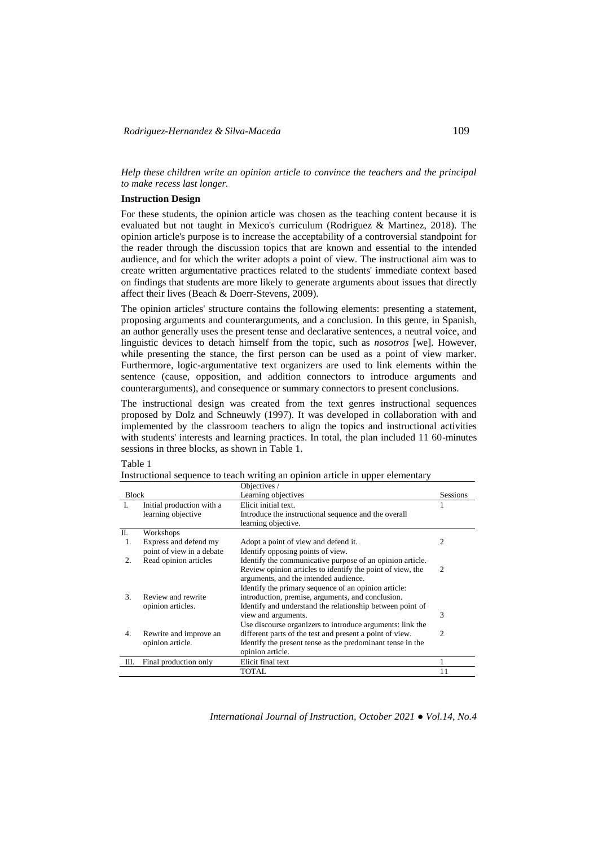*Help these children write an opinion article to convince the teachers and the principal to make recess last longer.*

## **Instruction Design**

For these students, the opinion article was chosen as the teaching content because it is evaluated but not taught in Mexico's curriculum (Rodriguez & Martinez, 2018). The opinion article's purpose is to increase the acceptability of a controversial standpoint for the reader through the discussion topics that are known and essential to the intended audience, and for which the writer adopts a point of view. The instructional aim was to create written argumentative practices related to the students' immediate context based on findings that students are more likely to generate arguments about issues that directly affect their lives (Beach & Doerr-Stevens, 2009).

The opinion articles' structure contains the following elements: presenting a statement, proposing arguments and counterarguments, and a conclusion. In this genre, in Spanish, an author generally uses the present tense and declarative sentences, a neutral voice, and linguistic devices to detach himself from the topic, such as *nosotros* [we]. However, while presenting the stance, the first person can be used as a point of view marker. Furthermore, logic-argumentative text organizers are used to link elements within the sentence (cause, opposition, and addition connectors to introduce arguments and counterarguments), and consequence or summary connectors to present conclusions.

The instructional design was created from the text genres instructional sequences proposed by Dolz and Schneuwly (1997). It was developed in collaboration with and implemented by the classroom teachers to align the topics and instructional activities with students' interests and learning practices. In total, the plan included 11 60-minutes sessions in three blocks, as shown in Table 1.

|              |                           | Objectives /                                               |                 |
|--------------|---------------------------|------------------------------------------------------------|-----------------|
| <b>Block</b> |                           | Learning objectives                                        | <b>Sessions</b> |
| L            | Initial production with a | Elicit initial text.                                       |                 |
|              | learning objective        | Introduce the instructional sequence and the overall       |                 |
|              |                           | learning objective.                                        |                 |
| П.           | Workshops                 |                                                            |                 |
| 1.           | Express and defend my     | Adopt a point of view and defend it.                       | 2               |
|              | point of view in a debate | Identify opposing points of view.                          |                 |
| 2.           | Read opinion articles     | Identify the communicative purpose of an opinion article.  |                 |
|              |                           | Review opinion articles to identify the point of view, the | $\mathfrak{D}$  |
|              |                           | arguments, and the intended audience.                      |                 |
|              |                           | Identify the primary sequence of an opinion article:       |                 |
| 3.           | Review and rewrite        | introduction, premise, arguments, and conclusion.          |                 |
|              | opinion articles.         | Identify and understand the relationship between point of  |                 |
|              |                           | view and arguments.                                        | 3               |
|              |                           | Use discourse organizers to introduce arguments: link the  |                 |
| 4.           | Rewrite and improve an    | different parts of the test and present a point of view.   | 2               |
|              | opinion article.          | Identify the present tense as the predominant tense in the |                 |
|              |                           | opinion article.                                           |                 |
| Ш.           | Final production only     | Elicit final text                                          |                 |
|              |                           | <b>TOTAL</b>                                               | 11              |

Table 1

|  |  | Instructional sequence to teach writing an opinion article in upper elementary |
|--|--|--------------------------------------------------------------------------------|
|  |  |                                                                                |
|  |  |                                                                                |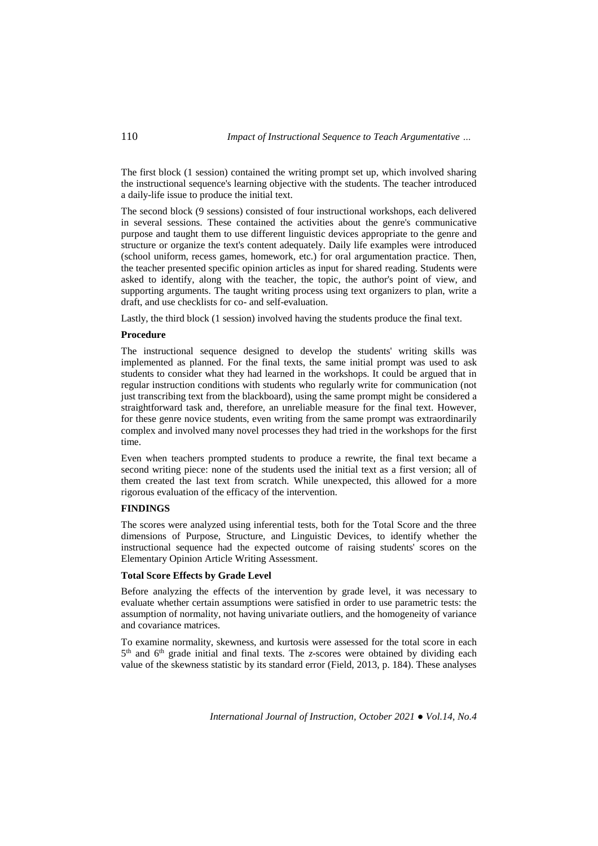The first block (1 session) contained the writing prompt set up, which involved sharing the instructional sequence's learning objective with the students. The teacher introduced a daily-life issue to produce the initial text.

The second block (9 sessions) consisted of four instructional workshops, each delivered in several sessions. These contained the activities about the genre's communicative purpose and taught them to use different linguistic devices appropriate to the genre and structure or organize the text's content adequately. Daily life examples were introduced (school uniform, recess games, homework, etc.) for oral argumentation practice. Then, the teacher presented specific opinion articles as input for shared reading. Students were asked to identify, along with the teacher, the topic, the author's point of view, and supporting arguments. The taught writing process using text organizers to plan, write a draft, and use checklists for co- and self-evaluation.

Lastly, the third block (1 session) involved having the students produce the final text.

## **Procedure**

The instructional sequence designed to develop the students' writing skills was implemented as planned. For the final texts, the same initial prompt was used to ask students to consider what they had learned in the workshops. It could be argued that in regular instruction conditions with students who regularly write for communication (not just transcribing text from the blackboard), using the same prompt might be considered a straightforward task and, therefore, an unreliable measure for the final text. However, for these genre novice students, even writing from the same prompt was extraordinarily complex and involved many novel processes they had tried in the workshops for the first time.

Even when teachers prompted students to produce a rewrite, the final text became a second writing piece: none of the students used the initial text as a first version; all of them created the last text from scratch. While unexpected, this allowed for a more rigorous evaluation of the efficacy of the intervention.

## **FINDINGS**

The scores were analyzed using inferential tests, both for the Total Score and the three dimensions of Purpose, Structure, and Linguistic Devices, to identify whether the instructional sequence had the expected outcome of raising students' scores on the Elementary Opinion Article Writing Assessment.

#### **Total Score Effects by Grade Level**

Before analyzing the effects of the intervention by grade level, it was necessary to evaluate whether certain assumptions were satisfied in order to use parametric tests: the assumption of normality, not having univariate outliers, and the homogeneity of variance and covariance matrices.

To examine normality, skewness, and kurtosis were assessed for the total score in each 5<sup>th</sup> and 6<sup>th</sup> grade initial and final texts. The *z*-scores were obtained by dividing each value of the skewness statistic by its standard error (Field, 2013, p. 184). These analyses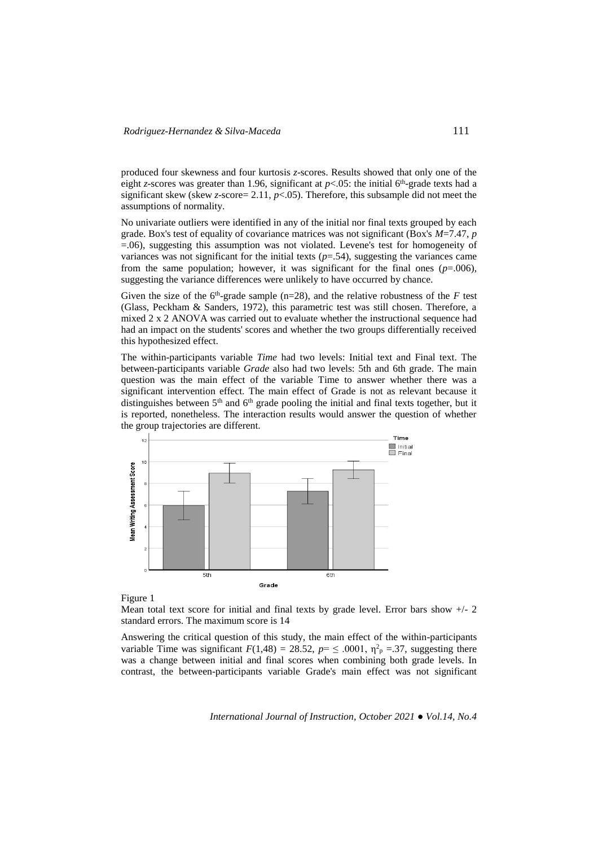produced four skewness and four kurtosis *z*-scores. Results showed that only one of the eight *z*-scores was greater than 1.96, significant at  $p<.05$ : the initial 6<sup>th</sup>-grade texts had a significant skew (skew *z*-score= 2.11,  $p$ <.05). Therefore, this subsample did not meet the assumptions of normality.

No univariate outliers were identified in any of the initial nor final texts grouped by each grade. Box's test of equality of covariance matrices was not significant (Box's *M*=7.47, *p* =.06), suggesting this assumption was not violated. Levene's test for homogeneity of variances was not significant for the initial texts  $(p=.54)$ , suggesting the variances came from the same population; however, it was significant for the final ones  $(p=0.006)$ , suggesting the variance differences were unlikely to have occurred by chance.

Given the size of the  $6<sup>th</sup>$ -grade sample (n=28), and the relative robustness of the *F* test (Glass, Peckham & Sanders, 1972), this parametric test was still chosen. Therefore, a mixed 2 x 2 ANOVA was carried out to evaluate whether the instructional sequence had had an impact on the students' scores and whether the two groups differentially received this hypothesized effect.

The within-participants variable *Time* had two levels: Initial text and Final text. The between-participants variable *Grade* also had two levels: 5th and 6th grade. The main question was the main effect of the variable Time to answer whether there was a significant intervention effect. The main effect of Grade is not as relevant because it distinguishes between  $5<sup>th</sup>$  and  $6<sup>th</sup>$  grade pooling the initial and final texts together, but it is reported, nonetheless. The interaction results would answer the question of whether the group trajectories are different.



Figure 1

Mean total text score for initial and final texts by grade level. Error bars show +/- 2 standard errors. The maximum score is 14

Answering the critical question of this study, the main effect of the within-participants variable Time was significant  $F(1,48) = 28.52$ ,  $p = \leq .0001$ ,  $\eta_p^2 = .37$ , suggesting there was a change between initial and final scores when combining both grade levels. In contrast, the between-participants variable Grade's main effect was not significant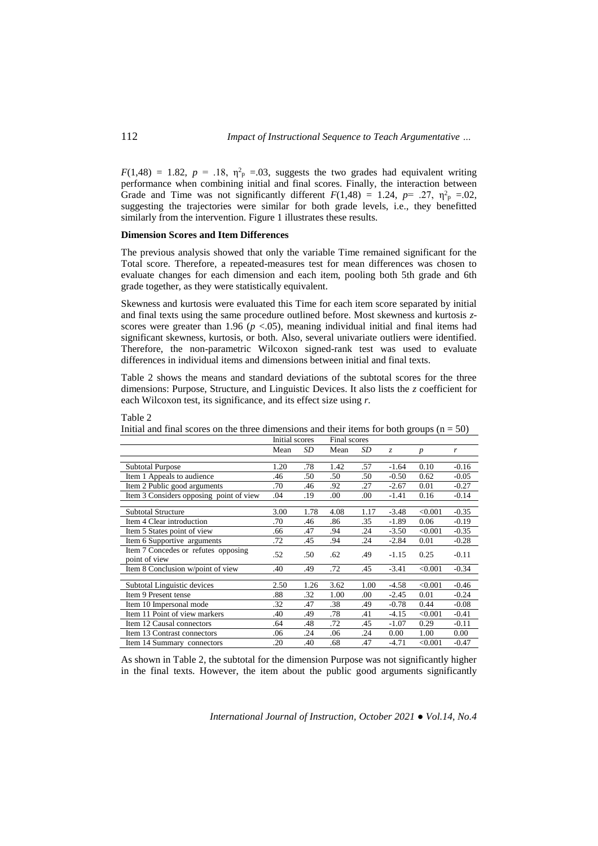$F(1,48) = 1.82$ ,  $p = .18$ ,  $\eta_p^2 = .03$ , suggests the two grades had equivalent writing performance when combining initial and final scores. Finally, the interaction between Grade and Time was not significantly different  $F(1,48) = 1.24$ ,  $p = .27$ ,  $\eta_{\text{p}}^2 = .02$ , suggesting the trajectories were similar for both grade levels, i.e., they benefitted similarly from the intervention. Figure 1 illustrates these results.

### **Dimension Scores and Item Differences**

The previous analysis showed that only the variable Time remained significant for the Total score. Therefore, a repeated-measures test for mean differences was chosen to evaluate changes for each dimension and each item, pooling both 5th grade and 6th grade together, as they were statistically equivalent.

Skewness and kurtosis were evaluated this Time for each item score separated by initial and final texts using the same procedure outlined before. Most skewness and kurtosis *z*scores were greater than 1.96 ( $p < .05$ ), meaning individual initial and final items had significant skewness, kurtosis, or both. Also, several univariate outliers were identified. Therefore, the non-parametric Wilcoxon signed-rank test was used to evaluate differences in individual items and dimensions between initial and final texts.

Table 2 shows the means and standard deviations of the subtotal scores for the three dimensions: Purpose, Structure, and Linguistic Devices. It also lists the *z* coefficient for each Wilcoxon test, its significance, and its effect size using *r.*

|                                         | Initial scores |      | Final scores |      |               |                  |         |  |
|-----------------------------------------|----------------|------|--------------|------|---------------|------------------|---------|--|
|                                         | Mean           | SD   | Mean         | SD   | $\mathcal{Z}$ | $\boldsymbol{p}$ | r       |  |
|                                         |                |      |              |      |               |                  |         |  |
| <b>Subtotal Purpose</b>                 | 1.20           | .78  | 1.42         | .57  | $-1.64$       | 0.10             | $-0.16$ |  |
| Item 1 Appeals to audience              | .46            | .50  | .50          | .50  | $-0.50$       | 0.62             | $-0.05$ |  |
| Item 2 Public good arguments            | .70            | .46  | .92          | .27  | $-2.67$       | 0.01             | $-0.27$ |  |
| Item 3 Considers opposing point of view | .04            | .19  | .00          | .00  | $-1.41$       | 0.16             | $-0.14$ |  |
|                                         |                |      |              |      |               |                  |         |  |
| <b>Subtotal Structure</b>               | 3.00           | 1.78 | 4.08         | 1.17 | $-3.48$       | < 0.001          | $-0.35$ |  |
| Item 4 Clear introduction               | .70            | .46  | .86          | .35  | $-1.89$       | 0.06             | $-0.19$ |  |
| Item 5 States point of view             | .66            | .47  | .94          | .24  | $-3.50$       | < 0.001          | $-0.35$ |  |
| Item 6 Supportive arguments             | .72            | .45  | .94          | .24  | $-2.84$       | 0.01             | $-0.28$ |  |
| Item 7 Concedes or refutes opposing     | .52            | .50  | .62          | .49  | $-1.15$       | 0.25             | $-0.11$ |  |
| point of view                           |                |      |              |      |               |                  |         |  |
| Item 8 Conclusion w/point of view       | .40            | .49  | .72          | .45  | $-3.41$       | < 0.001          | $-0.34$ |  |
|                                         |                |      |              |      |               |                  |         |  |
| Subtotal Linguistic devices             | 2.50           | 1.26 | 3.62         | 1.00 | $-4.58$       | < 0.001          | $-0.46$ |  |
| Item 9 Present tense                    | .88            | .32  | 1.00         | .00  | $-2.45$       | 0.01             | $-0.24$ |  |
| Item 10 Impersonal mode                 | .32            | .47  | .38          | .49  | $-0.78$       | 0.44             | $-0.08$ |  |
| Item 11 Point of view markers           | .40            | .49  | .78          | .41  | $-4.15$       | < 0.001          | $-0.41$ |  |
| Item 12 Causal connectors               | .64            | .48  | .72          | .45  | $-1.07$       | 0.29             | $-0.11$ |  |
| Item 13 Contrast connectors             | .06            | .24  | .06          | .24  | 0.00          | 1.00             | 0.00    |  |
| Item 14 Summary connectors              | .20            | .40  | .68          | .47  | $-4.71$       | < 0.001          | $-0.47$ |  |

Initial and final scores on the three dimensions and their items for both groups  $(n = 50)$ 

As shown in Table 2, the subtotal for the dimension Purpose was not significantly higher in the final texts. However, the item about the public good arguments significantly

*International Journal of Instruction, October 2021 ● Vol.14, No.4*

Table 2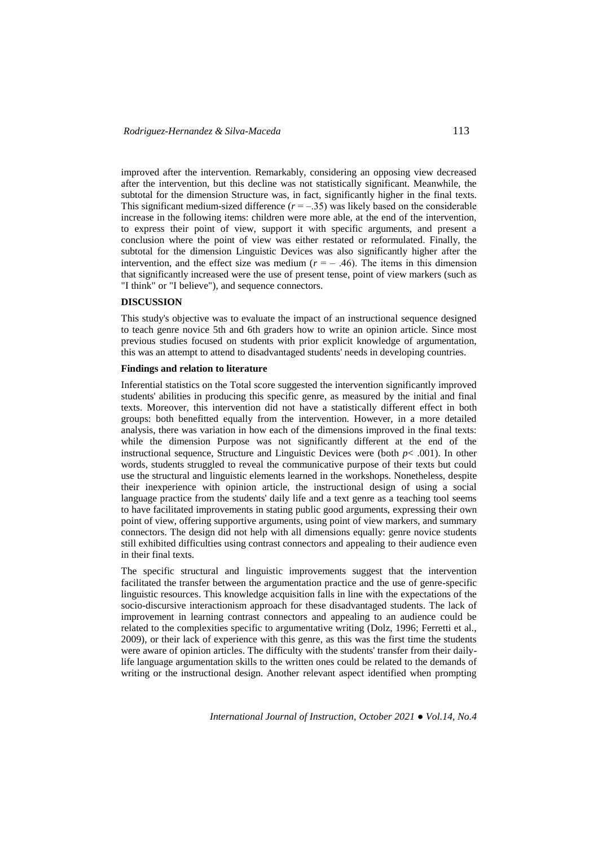improved after the intervention. Remarkably, considering an opposing view decreased after the intervention, but this decline was not statistically significant. Meanwhile, the subtotal for the dimension Structure was, in fact, significantly higher in the final texts. This significant medium-sized difference  $(r = -0.35)$  was likely based on the considerable increase in the following items: children were more able, at the end of the intervention, to express their point of view, support it with specific arguments, and present a conclusion where the point of view was either restated or reformulated. Finally, the subtotal for the dimension Linguistic Devices was also significantly higher after the intervention, and the effect size was medium  $(r = -0.46)$ . The items in this dimension that significantly increased were the use of present tense, point of view markers (such as "I think" or "I believe"), and sequence connectors.

# **DISCUSSION**

This study's objective was to evaluate the impact of an instructional sequence designed to teach genre novice 5th and 6th graders how to write an opinion article. Since most previous studies focused on students with prior explicit knowledge of argumentation, this was an attempt to attend to disadvantaged students' needs in developing countries.

## **Findings and relation to literature**

Inferential statistics on the Total score suggested the intervention significantly improved students' abilities in producing this specific genre, as measured by the initial and final texts. Moreover, this intervention did not have a statistically different effect in both groups: both benefitted equally from the intervention. However, in a more detailed analysis, there was variation in how each of the dimensions improved in the final texts: while the dimension Purpose was not significantly different at the end of the instructional sequence, Structure and Linguistic Devices were (both  $p$ < .001). In other words, students struggled to reveal the communicative purpose of their texts but could use the structural and linguistic elements learned in the workshops. Nonetheless, despite their inexperience with opinion article, the instructional design of using a social language practice from the students' daily life and a text genre as a teaching tool seems to have facilitated improvements in stating public good arguments, expressing their own point of view, offering supportive arguments, using point of view markers, and summary connectors. The design did not help with all dimensions equally: genre novice students still exhibited difficulties using contrast connectors and appealing to their audience even in their final texts.

The specific structural and linguistic improvements suggest that the intervention facilitated the transfer between the argumentation practice and the use of genre-specific linguistic resources. This knowledge acquisition falls in line with the expectations of the socio-discursive interactionism approach for these disadvantaged students. The lack of improvement in learning contrast connectors and appealing to an audience could be related to the complexities specific to argumentative writing (Dolz, 1996; Ferretti et al., 2009), or their lack of experience with this genre, as this was the first time the students were aware of opinion articles. The difficulty with the students' transfer from their dailylife language argumentation skills to the written ones could be related to the demands of writing or the instructional design. Another relevant aspect identified when prompting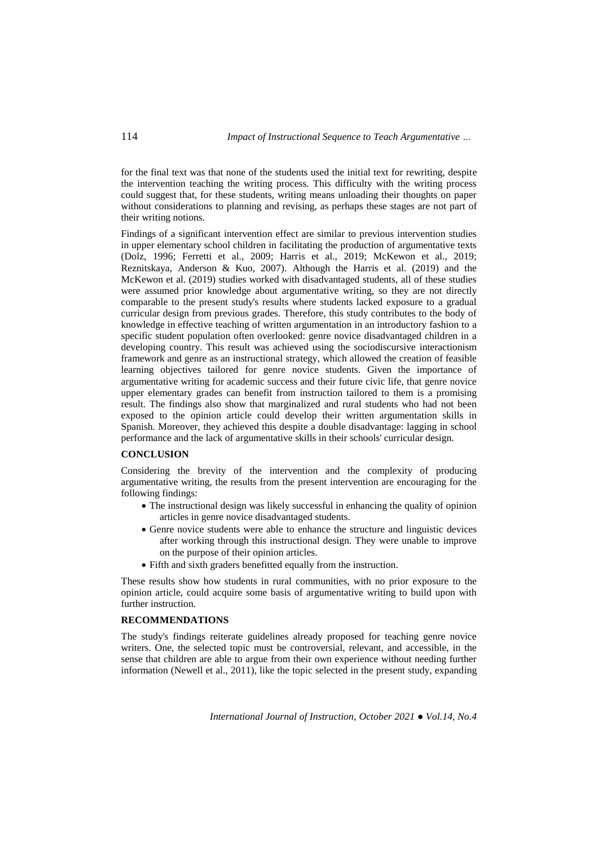for the final text was that none of the students used the initial text for rewriting, despite the intervention teaching the writing process. This difficulty with the writing process could suggest that, for these students, writing means unloading their thoughts on paper without considerations to planning and revising, as perhaps these stages are not part of their writing notions.

Findings of a significant intervention effect are similar to previous intervention studies in upper elementary school children in facilitating the production of argumentative texts (Dolz, 1996; Ferretti et al., 2009; Harris et al., 2019; McKewon et al., 2019; Reznitskaya, Anderson & Kuo, 2007). Although the Harris et al. (2019) and the McKewon et al. (2019) studies worked with disadvantaged students, all of these studies were assumed prior knowledge about argumentative writing, so they are not directly comparable to the present study's results where students lacked exposure to a gradual curricular design from previous grades. Therefore, this study contributes to the body of knowledge in effective teaching of written argumentation in an introductory fashion to a specific student population often overlooked: genre novice disadvantaged children in a developing country. This result was achieved using the sociodiscursive interactionism framework and genre as an instructional strategy, which allowed the creation of feasible learning objectives tailored for genre novice students. Given the importance of argumentative writing for academic success and their future civic life, that genre novice upper elementary grades can benefit from instruction tailored to them is a promising result. The findings also show that marginalized and rural students who had not been exposed to the opinion article could develop their written argumentation skills in Spanish. Moreover, they achieved this despite a double disadvantage: lagging in school performance and the lack of argumentative skills in their schools' curricular design.

## **CONCLUSION**

Considering the brevity of the intervention and the complexity of producing argumentative writing, the results from the present intervention are encouraging for the following findings:

- The instructional design was likely successful in enhancing the quality of opinion articles in genre novice disadvantaged students.
- Genre novice students were able to enhance the structure and linguistic devices after working through this instructional design. They were unable to improve on the purpose of their opinion articles.
- Fifth and sixth graders benefitted equally from the instruction.

These results show how students in rural communities, with no prior exposure to the opinion article, could acquire some basis of argumentative writing to build upon with further instruction.

## **RECOMMENDATIONS**

The study's findings reiterate guidelines already proposed for teaching genre novice writers. One, the selected topic must be controversial, relevant, and accessible, in the sense that children are able to argue from their own experience without needing further information (Newell et al., 2011), like the topic selected in the present study, expanding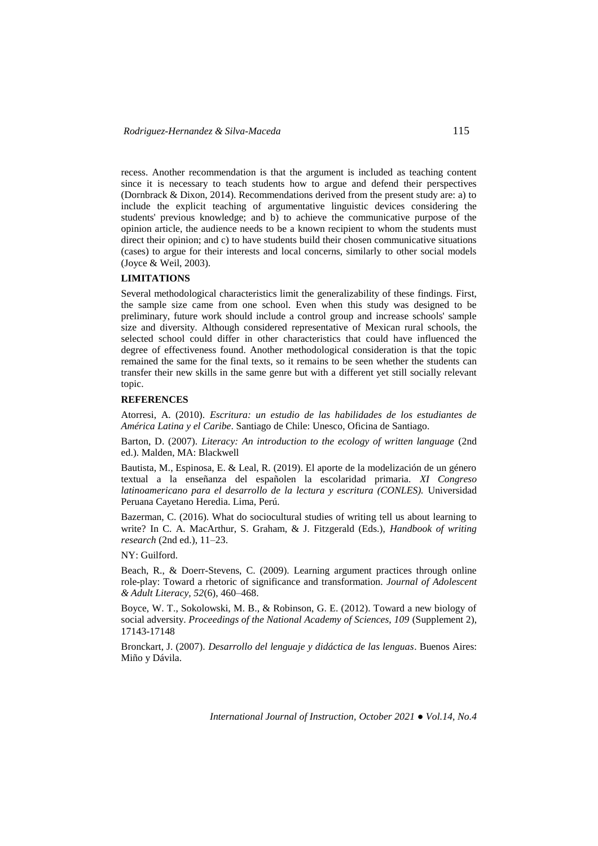recess. Another recommendation is that the argument is included as teaching content since it is necessary to teach students how to argue and defend their perspectives (Dornbrack & Dixon, 2014). Recommendations derived from the present study are: a) to include the explicit teaching of argumentative linguistic devices considering the students' previous knowledge; and b) to achieve the communicative purpose of the opinion article, the audience needs to be a known recipient to whom the students must direct their opinion; and c) to have students build their chosen communicative situations (cases) to argue for their interests and local concerns, similarly to other social models (Joyce & Weil, 2003).

### **LIMITATIONS**

Several methodological characteristics limit the generalizability of these findings. First, the sample size came from one school. Even when this study was designed to be preliminary, future work should include a control group and increase schools' sample size and diversity. Although considered representative of Mexican rural schools, the selected school could differ in other characteristics that could have influenced the degree of effectiveness found. Another methodological consideration is that the topic remained the same for the final texts, so it remains to be seen whether the students can transfer their new skills in the same genre but with a different yet still socially relevant topic.

### **REFERENCES**

Atorresi, A. (2010). *Escritura: un estudio de las habilidades de los estudiantes de América Latina y el Caribe*. Santiago de Chile: Unesco, Oficina de Santiago.

Barton, D. (2007). *Literacy: An introduction to the ecology of written language* (2nd ed.). Malden, MA: Blackwell

Bautista, M., Espinosa, E. & Leal, R. (2019). El aporte de la modelización de un género textual a la enseñanza del españolen la escolaridad primaria. *XI Congreso latinoamericano para el desarrollo de la lectura y escritura (CONLES).* Universidad Peruana Cayetano Heredia. Lima, Perú.

Bazerman, C. (2016). What do sociocultural studies of writing tell us about learning to write? In C. A. MacArthur, S. Graham, & J. Fitzgerald (Eds.), *Handbook of writing research* (2nd ed.), 11–23.

NY: Guilford.

Beach, R., & Doerr-Stevens, C. (2009). Learning argument practices through online role-play: Toward a rhetoric of significance and transformation. *Journal of Adolescent & Adult Literacy, 52*(6), 460–468.

Boyce, W. T., Sokolowski, M. B., & Robinson, G. E. (2012). Toward a new biology of social adversity. *Proceedings of the National Academy of Sciences, 109* (Supplement 2), 17143-17148

Bronckart, J. (2007). *Desarrollo del lenguaje y didáctica de las lenguas*. Buenos Aires: Miño y Dávila.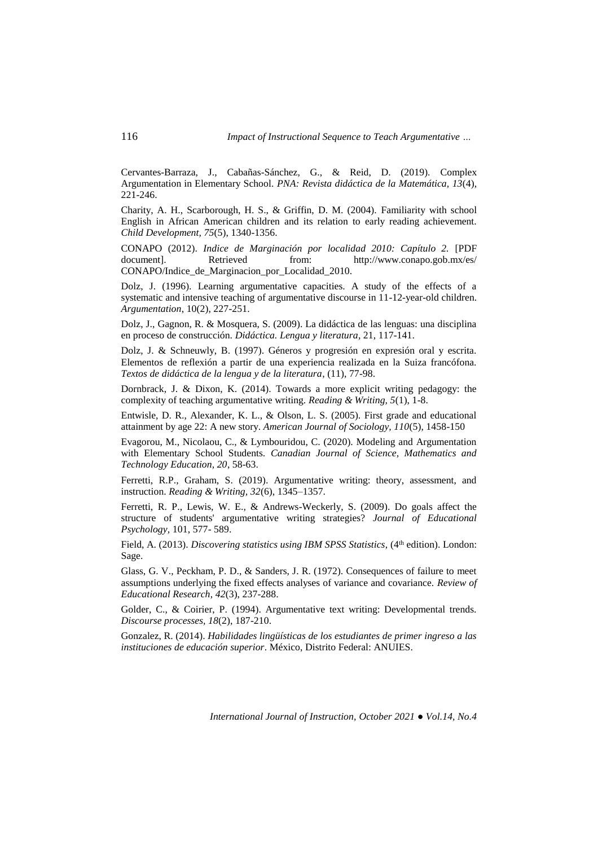Cervantes-Barraza, J., Cabañas-Sánchez, G., & Reid, D. (2019). Complex Argumentation in Elementary School. *PNA: Revista didáctica de la Matemática, 13*(4), 221-246.

Charity, A. H., Scarborough, H. S., & Griffin, D. M. (2004). Familiarity with school English in African American children and its relation to early reading achievement. *Child Development, 75*(5), 1340-1356.

CONAPO (2012). *Indice de Marginación por localidad 2010: Capítulo 2.* [PDF from: http://www.conapo.gob.mx/es/ CONAPO/Indice de Marginacion por Localidad 2010.

Dolz, J. (1996). Learning argumentative capacities. A study of the effects of a systematic and intensive teaching of argumentative discourse in 11-12-year-old children. *Argumentation*, 10(2), 227-251.

Dolz, J., Gagnon, R. & Mosquera, S. (2009). La didáctica de las lenguas: una disciplina en proceso de construcción. *Didáctica. Lengua y literatura*, 21, 117-141.

Dolz, J. & Schneuwly, B. (1997). Géneros y progresión en expresión oral y escrita. Elementos de reflexión a partir de una experiencia realizada en la Suiza francófona. *Textos de didáctica de la lengua y de la literatura*, (11), 77-98.

Dornbrack, J. & Dixon, K. (2014). Towards a more explicit writing pedagogy: the complexity of teaching argumentative writing. *Reading & Writing, 5*(1), 1-8.

Entwisle, D. R., Alexander, K. L., & Olson, L. S. (2005). First grade and educational attainment by age 22: A new story. *American Journal of Sociology, 110*(5), 1458-150

Evagorou, M., Nicolaou, C., & Lymbouridou, C. (2020). Modeling and Argumentation with Elementary School Students. *Canadian Journal of Science, Mathematics and Technology Education, 20*, 58-63.

Ferretti, R.P., Graham, S. (2019). Argumentative writing: theory, assessment, and instruction. *Reading & Writing, 32*(6), 1345–1357.

Ferretti, R. P., Lewis, W. E., & Andrews-Weckerly, S. (2009). Do goals affect the structure of students' argumentative writing strategies? *Journal of Educational Psychology,* 101, 577- 589.

Field, A. (2013). *Discovering statistics using IBM SPSS Statistics*, (4<sup>th</sup> edition). London: Sage.

Glass, G. V., Peckham, P. D., & Sanders, J. R. (1972). Consequences of failure to meet assumptions underlying the fixed effects analyses of variance and covariance. *Review of Educational Research*, *42*(3), 237-288.

Golder, C., & Coirier, P. (1994). Argumentative text writing: Developmental trends. *Discourse processes, 18*(2), 187-210.

Gonzalez, R. (2014). *Habilidades lingüísticas de los estudiantes de primer ingreso a las instituciones de educación superior*. México, Distrito Federal: ANUIES.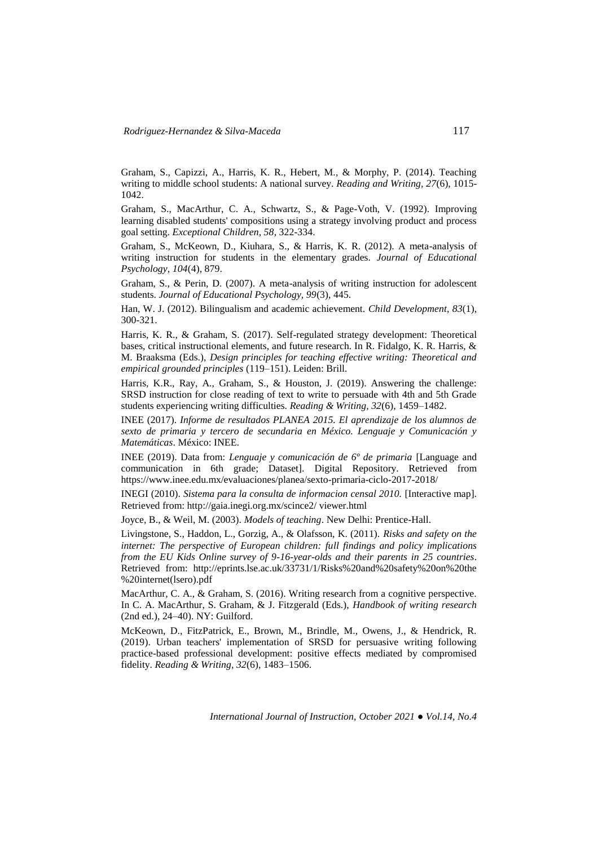Graham, S., Capizzi, A., Harris, K. R., Hebert, M., & Morphy, P. (2014). Teaching writing to middle school students: A national survey. *Reading and Writing, 27*(6), 1015- 1042.

Graham, S., MacArthur, C. A., Schwartz, S., & Page-Voth, V. (1992). Improving learning disabled students' compositions using a strategy involving product and process goal setting. *Exceptional Children, 58*, 322-334.

Graham, S., McKeown, D., Kiuhara, S., & Harris, K. R. (2012). A meta-analysis of writing instruction for students in the elementary grades. *Journal of Educational Psychology, 104*(4), 879.

Graham, S., & Perin, D. (2007). A meta-analysis of writing instruction for adolescent students. *Journal of Educational Psychology, 99*(3), 445.

Han, W. J. (2012). Bilingualism and academic achievement. *Child Development, 83*(1), 300-321.

Harris, K. R., & Graham, S. (2017). Self-regulated strategy development: Theoretical bases, critical instructional elements, and future research. In R. Fidalgo, K. R. Harris, & M. Braaksma (Eds.), *Design principles for teaching effective writing: Theoretical and empirical grounded principles* (119–151). Leiden: Brill.

Harris, K.R., Ray, A., Graham, S., & Houston, J. (2019). Answering the challenge: SRSD instruction for close reading of text to write to persuade with 4th and 5th Grade students experiencing writing difficulties. *Reading & Writing, 32*(6), 1459–1482.

INEE (2017). *Informe de resultados PLANEA 2015. El aprendizaje de los alumnos de sexto de primaria y tercero de secundaria en México. Lenguaje y Comunicación y Matemáticas*. México: INEE.

INEE (2019). Data from: *Lenguaje y comunicación de 6º de primaria* [Language and communication in 6th grade; Dataset]. Digital Repository. Retrieved from https://www.inee.edu.mx/evaluaciones/planea/sexto-primaria-ciclo-2017-2018/

INEGI (2010). *Sistema para la consulta de informacion censal 2010.* [Interactive map]. Retrieved from: http://gaia.inegi.org.mx/scince2/ viewer.html

Joyce, B., & Weil, M. (2003). *Models of teaching*. New Delhi: Prentice-Hall.

Livingstone, S., Haddon, L., Gorzig, A., & Olafsson, K. (2011). *Risks and safety on the internet: The perspective of European children: full findings and policy implications from the EU Kids Online survey of 9-16-year-olds and their parents in 25 countries*. Retrieved from: http://eprints.lse.ac.uk/33731/1/Risks%20and%20safety%20on%20the %20internet(lsero).pdf

MacArthur, C. A., & Graham, S. (2016). Writing research from a cognitive perspective. In C. A. MacArthur, S. Graham, & J. Fitzgerald (Eds.), *Handbook of writing research*  (2nd ed.), 24–40). NY: Guilford.

McKeown, D., FitzPatrick, E., Brown, M., Brindle, M., Owens, J., & Hendrick, R. (2019). Urban teachers' implementation of SRSD for persuasive writing following practice-based professional development: positive effects mediated by compromised fidelity. *Reading & Writing, 32*(6), 1483–1506.